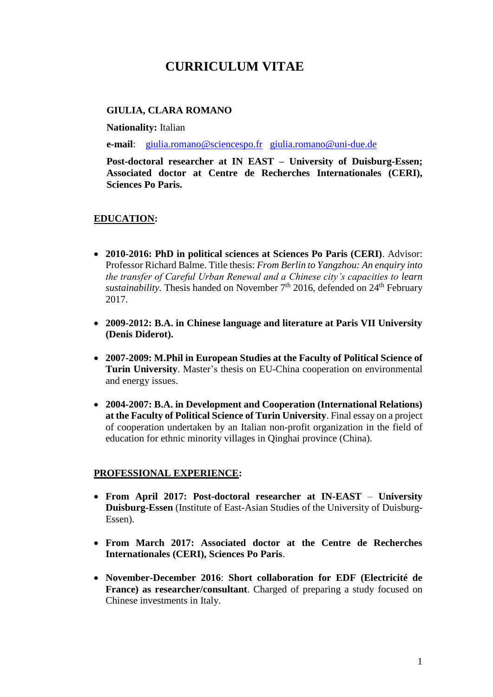# **CURRICULUM VITAE**

## **GIULIA, CLARA ROMANO**

**Nationality:** Italian

**e-mail**: [giulia.romano@sciencespo.fr](mailto:giulia.romano@sciencespo.fr) [giulia.romano@uni-due.de](mailto:giulia.romano@uni-due.de)

**Post-doctoral researcher at IN EAST – University of Duisburg-Essen; Associated doctor at Centre de Recherches Internationales (CERI), Sciences Po Paris.** 

### **EDUCATION:**

- **2010-2016: PhD in political sciences at Sciences Po Paris (CERI)**. Advisor: Professor Richard Balme. Title thesis: *From Berlin to Yangzhou: An enquiry into the transfer of Careful Urban Renewal and a Chinese city's capacities to learn sustainability*. Thesis handed on November 7<sup>th</sup> 2016, defended on 24<sup>th</sup> February 2017.
- **2009-2012: B.A. in Chinese language and literature at Paris VII University (Denis Diderot).**
- **2007-2009: M.Phil in European Studies at the Faculty of Political Science of Turin University**. Master's thesis on EU-China cooperation on environmental and energy issues.
- **2004-2007: B.A. in Development and Cooperation (International Relations) at the Faculty of Political Science of Turin University**. Final essay on a project of cooperation undertaken by an Italian non-profit organization in the field of education for ethnic minority villages in Qinghai province (China).

#### **PROFESSIONAL EXPERIENCE:**

- **From April 2017: Post-doctoral researcher at IN-EAST University Duisburg-Essen** (Institute of East-Asian Studies of the University of Duisburg-Essen).
- **From March 2017: Associated doctor at the Centre de Recherches Internationales (CERI), Sciences Po Paris**.
- **November-December 2016**: **Short collaboration for EDF (Electricité de France) as researcher/consultant**. Charged of preparing a study focused on Chinese investments in Italy.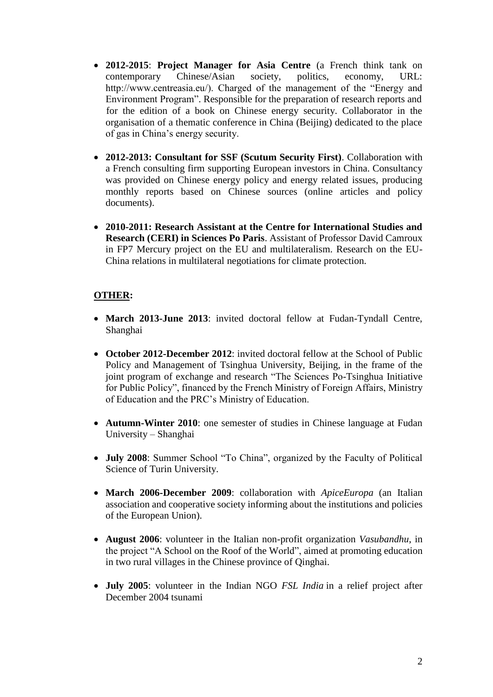- **2012-2015**: **Project Manager for Asia Centre** (a French think tank on contemporary Chinese/Asian society, politics, economy, URL: http://www.centreasia.eu/). Charged of the management of the "Energy and Environment Program". Responsible for the preparation of research reports and for the edition of a book on Chinese energy security. Collaborator in the organisation of a thematic conference in China (Beijing) dedicated to the place of gas in China's energy security.
- **2012-2013: Consultant for SSF (Scutum Security First)**. Collaboration with a French consulting firm supporting European investors in China. Consultancy was provided on Chinese energy policy and energy related issues, producing monthly reports based on Chinese sources (online articles and policy documents).
- **2010-2011: Research Assistant at the Centre for International Studies and Research (CERI) in Sciences Po Paris**. Assistant of Professor David Camroux in FP7 Mercury project on the EU and multilateralism. Research on the EU-China relations in multilateral negotiations for climate protection.

# **OTHER:**

- **March 2013-June 2013**: invited doctoral fellow at Fudan-Tyndall Centre, Shanghai
- **October 2012-December 2012**: invited doctoral fellow at the School of Public Policy and Management of Tsinghua University, Beijing, in the frame of the joint program of exchange and research "The Sciences Po-Tsinghua Initiative for Public Policy", financed by the French Ministry of Foreign Affairs, Ministry of Education and the PRC's Ministry of Education.
- **Autumn-Winter 2010**: one semester of studies in Chinese language at Fudan University – Shanghai
- **July 2008**: Summer School "To China", organized by the Faculty of Political Science of Turin University.
- **March 2006-December 2009**: collaboration with *ApiceEuropa* (an Italian association and cooperative society informing about the institutions and policies of the European Union).
- **August 2006**: volunteer in the Italian non-profit organization *Vasubandhu*, in the project "A School on the Roof of the World", aimed at promoting education in two rural villages in the Chinese province of Qinghai.
- **July 2005**: volunteer in the Indian NGO *FSL India* in a relief project after December 2004 tsunami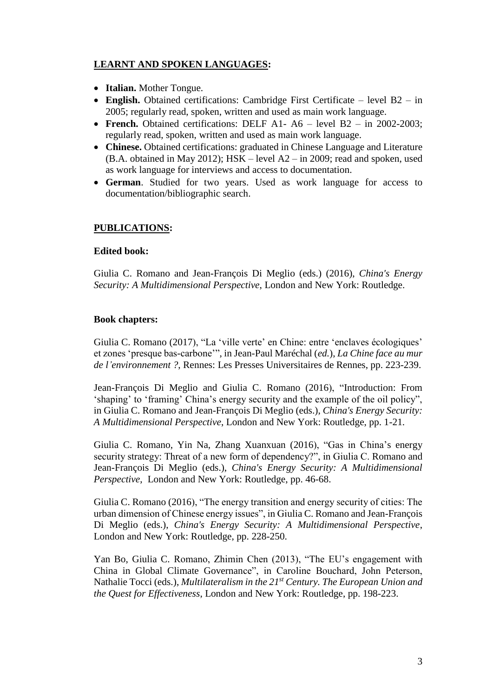# **LEARNT AND SPOKEN LANGUAGES:**

- **Italian.** Mother Tongue.
- **English.** Obtained certifications: Cambridge First Certificate level B2 in 2005; regularly read, spoken, written and used as main work language.
- French. Obtained certifications: DELF A1- A6 level B2 in 2002-2003; regularly read, spoken, written and used as main work language.
- **Chinese.** Obtained certifications: graduated in Chinese Language and Literature (B.A. obtained in May 2012); HSK – level A2 – in 2009; read and spoken, used as work language for interviews and access to documentation.
- **German**. Studied for two years. Used as work language for access to documentation/bibliographic search.

# **PUBLICATIONS:**

## **Edited book:**

Giulia C. Romano and Jean-François Di Meglio (eds.) (2016), *China's Energy Security: A Multidimensional Perspective*, London and New York: Routledge.

# **Book chapters:**

Giulia C. Romano (2017), "La 'ville verte' en Chine: entre 'enclaves écologiques' et zones 'presque bas-carbone'", in Jean-Paul Maréchal (*ed.*), *La Chine face au mur de l'environnement ?*, Rennes: Les Presses Universitaires de Rennes, pp. 223-239.

Jean-François Di Meglio and Giulia C. Romano (2016), "Introduction: From 'shaping' to 'framing' China's energy security and the example of the oil policy", in Giulia C. Romano and Jean-François Di Meglio (eds.), *China's Energy Security: A Multidimensional Perspective*, London and New York: Routledge, pp. 1-21.

Giulia C. Romano, Yin Na, Zhang Xuanxuan (2016), "Gas in China's energy security strategy: Threat of a new form of dependency?", in Giulia C. Romano and Jean-François Di Meglio (eds.), *China's Energy Security: A Multidimensional Perspective*, London and New York: Routledge, pp. 46-68.

Giulia C. Romano (2016), "The energy transition and energy security of cities: The urban dimension of Chinese energy issues", in Giulia C. Romano and Jean-François Di Meglio (eds.), *China's Energy Security: A Multidimensional Perspective*, London and New York: Routledge, pp. 228-250.

Yan Bo, Giulia C. Romano, Zhimin Chen (2013), "The EU's engagement with China in Global Climate Governance", in Caroline Bouchard, John Peterson, Nathalie Tocci (eds.), *Multilateralism in the 21st Century. The European Union and the Quest for Effectiveness*, London and New York: Routledge, pp. 198-223.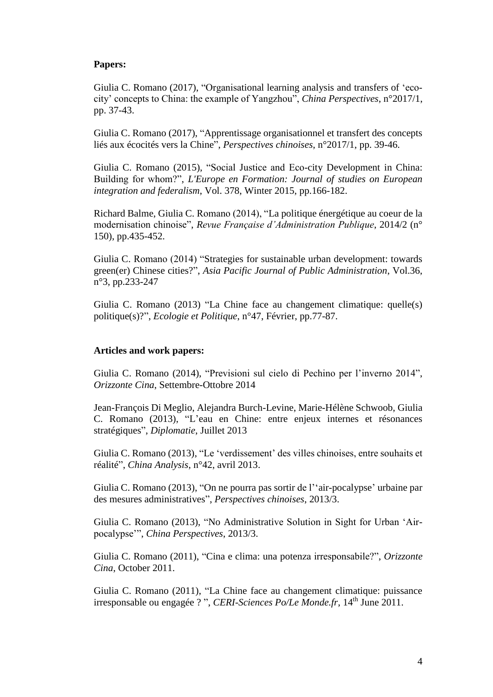#### **Papers:**

Giulia C. Romano (2017), "Organisational learning analysis and transfers of 'ecocity' concepts to China: the example of Yangzhou", *China Perspectives*, n°2017/1, pp. 37-43.

Giulia C. Romano (2017), "Apprentissage organisationnel et transfert des concepts liés aux écocités vers la Chine", *Perspectives chinoises*, n°2017/1, pp. 39-46.

Giulia C. Romano (2015), "Social Justice and Eco-city Development in China: Building for whom?", *L'Europe en Formation: Journal of studies on European integration and federalism*, Vol. 378, Winter 2015, pp.166-182.

Richard Balme, Giulia C. Romano (2014), "La politique énergétique au coeur de la modernisation chinoise", *Revue Française d'Administration Publique*, 2014/2 (n° 150), pp.435-452.

Giulia C. Romano (2014) "Strategies for sustainable urban development: towards green(er) Chinese cities?", *Asia Pacific Journal of Public Administration*, Vol.36, n°3, pp.233-247

Giulia C. Romano (2013) "La Chine face au changement climatique: quelle(s) politique(s)?", *Ecologie et Politique*, n°47, Février, pp.77-87.

#### **Articles and work papers:**

Giulia C. Romano (2014), "Previsioni sul cielo di Pechino per l'inverno 2014", *Orizzonte Cina*, Settembre-Ottobre 2014

Jean-François Di Meglio, Alejandra Burch-Levine, Marie-Hélène Schwoob, Giulia C. Romano (2013), "L'eau en Chine: entre enjeux internes et résonances stratégiques", *Diplomatie*, Juillet 2013

Giulia C. Romano (2013), "Le 'verdissement' des villes chinoises, entre souhaits et réalité", *China Analysis*, n°42, avril 2013.

Giulia C. Romano (2013), "On ne pourra pas sortir de l''air-pocalypse' urbaine par des mesures administratives", *Perspectives chinoises*, 2013/3.

Giulia C. Romano (2013), "No Administrative Solution in Sight for Urban 'Airpocalypse'", *China Perspectives*, 2013/3.

Giulia C. Romano (2011), "Cina e clima: una potenza irresponsabile?", *Orizzonte Cina*, October 2011.

Giulia C. Romano (2011), "La Chine face au changement climatique: puissance irresponsable ou engagée ? ", *CERI-Sciences Po/Le Monde.fr*, 14th June 2011.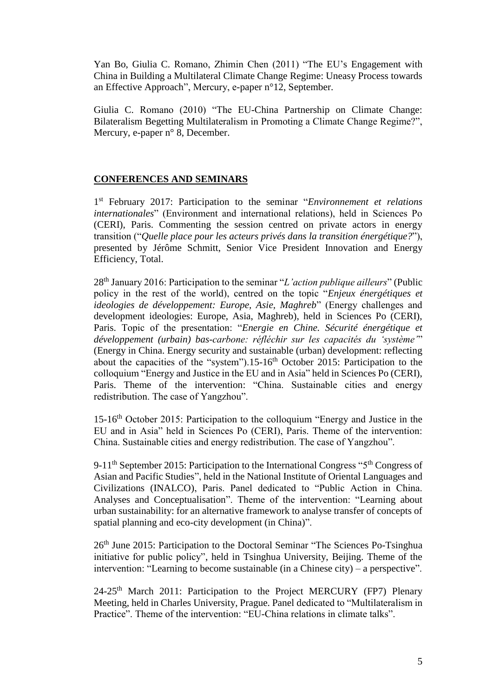Yan Bo, Giulia C. Romano, Zhimin Chen (2011) "The EU's Engagement with China in Building a Multilateral Climate Change Regime: Uneasy Process towards an Effective Approach", Mercury, e-paper n°12, September.

Giulia C. Romano (2010) "The EU-China Partnership on Climate Change: Bilateralism Begetting Multilateralism in Promoting a Climate Change Regime?", Mercury, e-paper n° 8, December.

## **CONFERENCES AND SEMINARS**

1 st February 2017: Participation to the seminar "*Environnement et relations internationales*" (Environment and international relations), held in Sciences Po (CERI), Paris. Commenting the session centred on private actors in energy transition ("*Quelle place pour les acteurs privés dans la transition énergétique?*"), presented by Jérôme Schmitt, Senior Vice President Innovation and Energy Efficiency, Total.

28th January 2016: Participation to the seminar "*L'action publique ailleurs*" (Public policy in the rest of the world), centred on the topic "*Enjeux énergétiques et ideologies de développement: Europe, Asie, Maghreb*" (Energy challenges and development ideologies: Europe, Asia, Maghreb), held in Sciences Po (CERI), Paris. Topic of the presentation: "*Energie en Chine. Sécurité énergétique et développement (urbain) bas-carbone: réfléchir sur les capacités du 'système'*" (Energy in China. Energy security and sustainable (urban) development: reflecting about the capacities of the "system").15-16<sup>th</sup> October 2015: Participation to the colloquium "Energy and Justice in the EU and in Asia" held in Sciences Po (CERI), Paris. Theme of the intervention: "China. Sustainable cities and energy redistribution. The case of Yangzhou".

15-16th October 2015: Participation to the colloquium "Energy and Justice in the EU and in Asia" held in Sciences Po (CERI), Paris. Theme of the intervention: China. Sustainable cities and energy redistribution. The case of Yangzhou".

9-11<sup>th</sup> September 2015: Participation to the International Congress "5<sup>th</sup> Congress of Asian and Pacific Studies", held in the National Institute of Oriental Languages and Civilizations (INALCO), Paris. Panel dedicated to "Public Action in China. Analyses and Conceptualisation". Theme of the intervention: "Learning about urban sustainability: for an alternative framework to analyse transfer of concepts of spatial planning and eco-city development (in China)".

26<sup>th</sup> June 2015: Participation to the Doctoral Seminar "The Sciences Po-Tsinghua initiative for public policy", held in Tsinghua University, Beijing. Theme of the intervention: "Learning to become sustainable (in a Chinese city) – a perspective".

24-25<sup>th</sup> March 2011: Participation to the Project MERCURY (FP7) Plenary Meeting, held in Charles University, Prague. Panel dedicated to "Multilateralism in Practice". Theme of the intervention: "EU-China relations in climate talks".